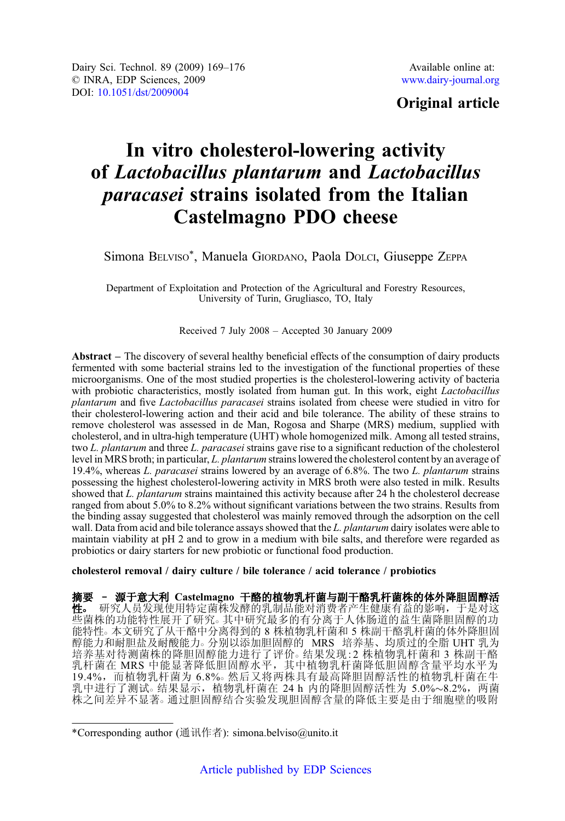# Original article

# In vitro cholesterol-lowering activity of Lactobacillus plantarum and Lactobacillus paracasei strains isolated from the Italian Castelmagno PDO cheese

Simona BELVISO\*, Manuela GIORDANO, Paola DOLCI, Giuseppe ZEPPA

Department of Exploitation and Protection of the Agricultural and Forestry Resources, University of Turin, Grugliasco, TO, Italy

# Received 7 July 2008 – Accepted 30 January 2009

Abstract – The discovery of several healthy beneficial effects of the consumption of dairy products fermented with some bacterial strains led to the investigation of the functional properties of these microorganisms. One of the most studied properties is the cholesterol-lowering activity of bacteria with probiotic characteristics, mostly isolated from human gut. In this work, eight *Lactobacillus* plantarum and five Lactobacillus paracasei strains isolated from cheese were studied in vitro for their cholesterol-lowering action and their acid and bile tolerance. The ability of these strains to remove cholesterol was assessed in de Man, Rogosa and Sharpe (MRS) medium, supplied with cholesterol, and in ultra-high temperature (UHT) whole homogenized milk. Among all tested strains, two L. plantarum and three L. paracasei strains gave rise to a significant reduction of the cholesterol level in MRS broth; in particular, L. plantarum strains lowered the cholesterol content by an average of 19.4%, whereas L. paracasei strains lowered by an average of 6.8%. The two L. plantarum strains possessing the highest cholesterol-lowering activity in MRS broth were also tested in milk. Results showed that L. plantarum strains maintained this activity because after 24 h the cholesterol decrease ranged from about 5.0% to 8.2% without significant variations between the two strains. Results from the binding assay suggested that cholesterol was mainly removed through the adsorption on the cell wall. Data from acid and bile tolerance assays showed that the L. plantarum dairy isolates were able to maintain viability at pH 2 and to grow in a medium with bile salts, and therefore were regarded as probiotics or dairy starters for new probiotic or functional food production.

cholesterol removal / dairy culture / bile tolerance / acid tolerance / probiotics

摘要 – 源于意大利 Castelmagno 干酪的植物乳杆菌与副干酪乳杆菌株的体外降胆固醇活 性。 研究人员发现使用特定菌株发酵的乳制品能对消费者产生健康有益的影响, 于是对这 些菌株的功能特性展开了研究○ 其中研究最多的有分离于人体肠道的益生菌降胆固醇的功 能特性。本文研究了从干酪中分离得到的 8 株植物乳杆菌和 5 株副干酪乳杆菌的体外降胆固 醇能力和耐胆盐及耐酸能力。分别以添加胆固醇的 MRS 培养基、均质过的全脂 UHT 乳为 培养基对待测菌株的降胆固醇能力进行了评价。结果发现:2 株植物乳杆菌和 3 株副干酪 乳杆菌在 MRS 中能显著降低胆固醇水平,其中植物乳杆菌降低胆固醇含量平均水平为 19.4%,而植物乳杆菌为 6.8%。然后又将两株具有最高降胆固醇活性的植物乳杆菌在牛 乳中进行了测试。结果显示, 植物乳杆菌在 24 h 内的降胆固醇活性为 5.0%~8.2%, 两菌 株之间差异不显著○ 通过胆固醇结合实验发现胆固醇含量的降低主要是由于细胞壁的吸附

<sup>\*</sup>Corresponding author (通讯作者): simona.belviso@unito.it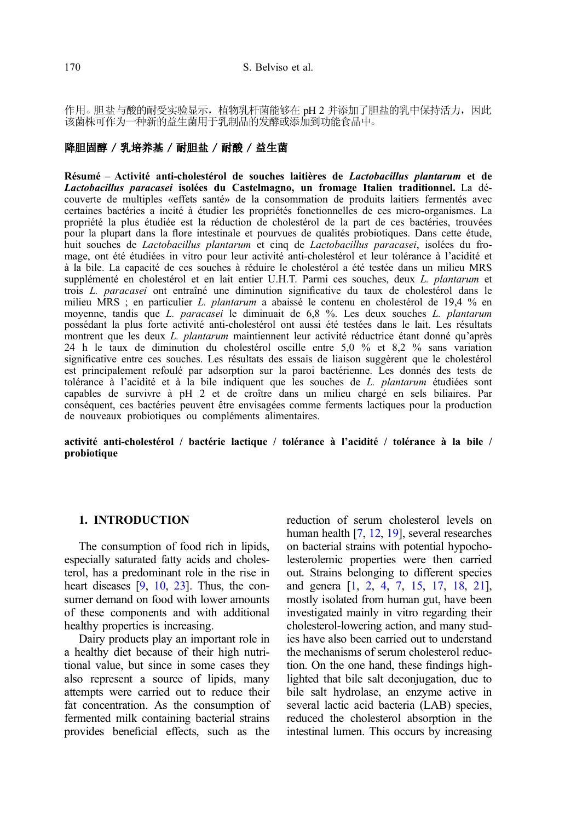作用。胆盐与酸的耐受实验显示,植物乳杆菌能够在 pH 2 并添加了胆盐的乳中保持活力,因此 该菌株可作为一种新的益生菌用于乳制品的发酵或添加到功能食品中○

# 降胆固醇 / 乳培养基 / 耐胆盐 / 耐酸 / 益生菌

Résumé – Activité anti-cholestérol de souches laitières de Lactobacillus plantarum et de Lactobacillus paracasei isolées du Castelmagno, un fromage Italien traditionnel. La découverte de multiples «effets santé» de la consommation de produits laitiers fermentés avec certaines bactéries a incité à étudier les propriétés fonctionnelles de ces micro-organismes. La propriété la plus étudiée est la réduction de cholestérol de la part de ces bactéries, trouvées pour la plupart dans la flore intestinale et pourvues de qualités probiotiques. Dans cette étude, huit souches de Lactobacillus plantarum et cinq de Lactobacillus paracasei, isolées du fromage, ont été étudiées in vitro pour leur activité anti-cholestérol et leur tolérance à l'acidité et à la bile. La capacité de ces souches à réduire le cholestérol a été testée dans un milieu MRS supplémenté en cholestérol et en lait entier U.H.T. Parmi ces souches, deux L. plantarum et trois L. paracasei ont entraîné une diminution significative du taux de cholestérol dans le milieu MRS ; en particulier L. plantarum a abaissé le contenu en cholestérol de 19,4 % en moyenne, tandis que L. paracasei le diminuait de 6,8 %. Les deux souches L. plantarum possédant la plus forte activité anti-cholestérol ont aussi été testées dans le lait. Les résultats montrent que les deux L. plantarum maintiennent leur activité réductrice étant donné qu'après 24 h le taux de diminution du cholestérol oscille entre 5,0 % et 8,2 % sans variation significative entre ces souches. Les résultats des essais de liaison suggèrent que le cholestérol est principalement refoulé par adsorption sur la paroi bactérienne. Les donnés des tests de tolérance à l'acidité et à la bile indiquent que les souches de L. *plantarum* étudiées sont capables de survivre à pH 2 et de croître dans un milieu chargé en sels biliaires. Par conséquent, ces bactéries peuvent être envisagées comme ferments lactiques pour la production de nouveaux probiotiques ou compléments alimentaires.

activité anti-cholestérol / bactérie lactique / tolérance à l'acidité / tolérance à la bile / probiotique

# 1. INTRODUCTION

The consumption of food rich in lipids, especially saturated fatty acids and cholesterol, has a predominant role in the rise in heart diseases [[9,](#page-6-0) [10](#page-6-0), [23\]](#page-7-0). Thus, the consumer demand on food with lower amounts of these components and with additional healthy properties is increasing.

Dairy products play an important role in a healthy diet because of their high nutritional value, but since in some cases they also represent a source of lipids, many attempts were carried out to reduce their fat concentration. As the consumption of fermented milk containing bacterial strains provides beneficial effects, such as the reduction of serum cholesterol levels on human health [[7,](#page-6-0) [12](#page-7-0), [19](#page-7-0)], several researches on bacterial strains with potential hypocholesterolemic properties were then carried out. Strains belonging to different species and genera [[1](#page-6-0), [2,](#page-6-0) [4](#page-6-0), [7,](#page-6-0) [15](#page-7-0), [17](#page-7-0), [18,](#page-7-0) [21](#page-7-0)], mostly isolated from human gut, have been investigated mainly in vitro regarding their cholesterol-lowering action, and many studies have also been carried out to understand the mechanisms of serum cholesterol reduction. On the one hand, these findings highlighted that bile salt deconjugation, due to bile salt hydrolase, an enzyme active in several lactic acid bacteria (LAB) species, reduced the cholesterol absorption in the intestinal lumen. This occurs by increasing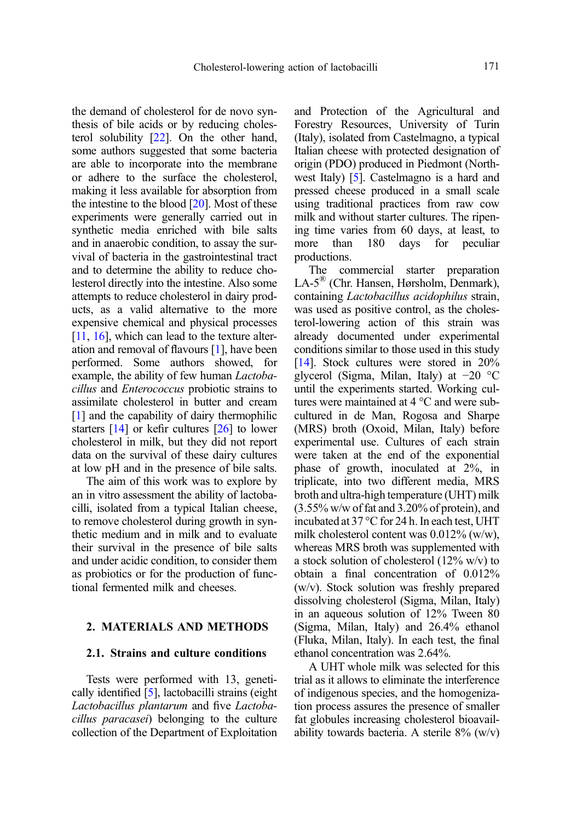the demand of cholesterol for de novo synthesis of bile acids or by reducing cholesterol solubility [\[22\]](#page-7-0). On the other hand, some authors suggested that some bacteria are able to incorporate into the membrane or adhere to the surface the cholesterol, making it less available for absorption from the intestine to the blood [[20](#page-7-0)]. Most of these experiments were generally carried out in synthetic media enriched with bile salts and in anaerobic condition, to assay the survival of bacteria in the gastrointestinal tract and to determine the ability to reduce cholesterol directly into the intestine. Also some attempts to reduce cholesterol in dairy products, as a valid alternative to the more expensive chemical and physical processes [[11,](#page-7-0) [16\]](#page-7-0), which can lead to the texture alteration and removal of flavours [\[1\]](#page-6-0), have been performed. Some authors showed, for example, the ability of few human Lactobacillus and Enterococcus probiotic strains to assimilate cholesterol in butter and cream [[1](#page-6-0)] and the capability of dairy thermophilic starters [[14](#page-7-0)] or kefir cultures [\[26\]](#page-7-0) to lower cholesterol in milk, but they did not report data on the survival of these dairy cultures at low pH and in the presence of bile salts.

The aim of this work was to explore by an in vitro assessment the ability of lactobacilli, isolated from a typical Italian cheese, to remove cholesterol during growth in synthetic medium and in milk and to evaluate their survival in the presence of bile salts and under acidic condition, to consider them as probiotics or for the production of functional fermented milk and cheeses.

# 2. MATERIALS AND METHODS

#### 2.1. Strains and culture conditions

Tests were performed with 13, genetically identified [\[5](#page-6-0)], lactobacilli strains (eight Lactobacillus plantarum and five Lactobacillus paracasei) belonging to the culture collection of the Department of Exploitation and Protection of the Agricultural and Forestry Resources, University of Turin (Italy), isolated from Castelmagno, a typical Italian cheese with protected designation of origin (PDO) produced in Piedmont (Northwest Italy) [\[5](#page-6-0)]. Castelmagno is a hard and pressed cheese produced in a small scale using traditional practices from raw cow milk and without starter cultures. The ripening time varies from 60 days, at least, to more than 180 days for peculiar productions.

The commercial starter preparation LA-5® (Chr. Hansen, Hørsholm, Denmark), containing Lactobacillus acidophilus strain, was used as positive control, as the cholesterol-lowering action of this strain was already documented under experimental conditions similar to those used in this study [[14\]](#page-7-0). Stock cultures were stored in 20% glycerol (Sigma, Milan, Italy) at −20 °C until the experiments started. Working cultures were maintained at 4 °C and were subcultured in de Man, Rogosa and Sharpe (MRS) broth (Oxoid, Milan, Italy) before experimental use. Cultures of each strain were taken at the end of the exponential phase of growth, inoculated at 2%, in triplicate, into two different media, MRS broth and ultra-high temperature (UHT) milk (3.55% w/w of fat and 3.20% of protein), and incubated at 37 °C for 24 h. In each test, UHT milk cholesterol content was 0.012% (w/w), whereas MRS broth was supplemented with a stock solution of cholesterol (12% w/v) to obtain a final concentration of 0.012% (w/v). Stock solution was freshly prepared dissolving cholesterol (Sigma, Milan, Italy) in an aqueous solution of 12% Tween 80 (Sigma, Milan, Italy) and 26.4% ethanol (Fluka, Milan, Italy). In each test, the final ethanol concentration was 2.64%.

A UHT whole milk was selected for this trial as it allows to eliminate the interference of indigenous species, and the homogenization process assures the presence of smaller fat globules increasing cholesterol bioavailability towards bacteria. A sterile  $8\%$  (w/v)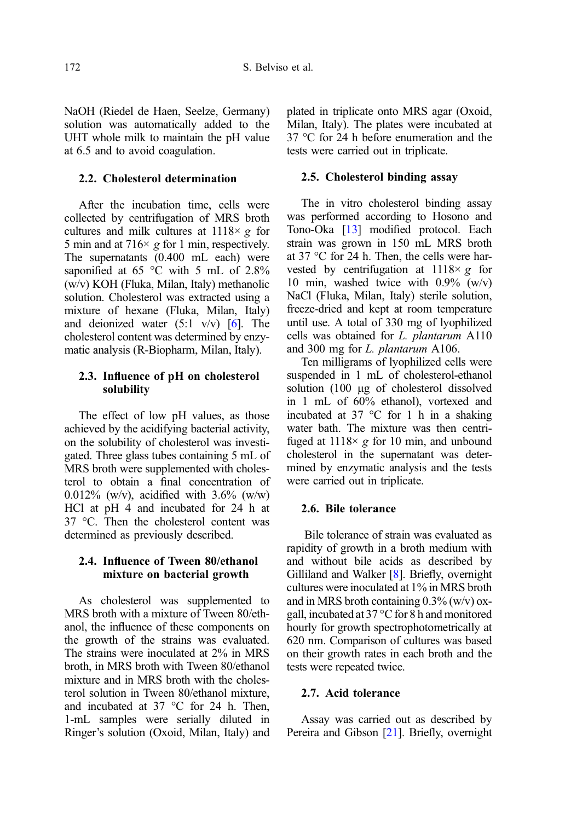NaOH (Riedel de Haen, Seelze, Germany) solution was automatically added to the UHT whole milk to maintain the pH value at 6.5 and to avoid coagulation.

#### 2.2. Cholesterol determination

After the incubation time, cells were collected by centrifugation of MRS broth cultures and milk cultures at  $1118\times g$  for 5 min and at 716 $\times$  g for 1 min, respectively. The supernatants (0.400 mL each) were saponified at 65 °C with 5 mL of 2.8% (w/v) KOH (Fluka, Milan, Italy) methanolic solution. Cholesterol was extracted using a mixture of hexane (Fluka, Milan, Italy) and deionized water  $(5:1 \text{ v/v})$  [[6](#page-6-0)]. The cholesterol content was determined by enzymatic analysis (R-Biopharm, Milan, Italy).

# 2.3. Influence of pH on cholesterol solubility

The effect of low pH values, as those achieved by the acidifying bacterial activity, on the solubility of cholesterol was investigated. Three glass tubes containing 5 mL of MRS broth were supplemented with cholesterol to obtain a final concentration of 0.012% (w/v), acidified with  $3.6\%$  (w/w) HCl at pH 4 and incubated for 24 h at 37 °C. Then the cholesterol content was determined as previously described.

### 2.4. Influence of Tween 80/ethanol mixture on bacterial growth

As cholesterol was supplemented to MRS broth with a mixture of Tween 80/ethanol, the influence of these components on the growth of the strains was evaluated. The strains were inoculated at 2% in MRS broth, in MRS broth with Tween 80/ethanol mixture and in MRS broth with the cholesterol solution in Tween 80/ethanol mixture, and incubated at 37 °C for 24 h. Then, 1-mL samples were serially diluted in Ringer's solution (Oxoid, Milan, Italy) and plated in triplicate onto MRS agar (Oxoid, Milan, Italy). The plates were incubated at 37 °C for 24 h before enumeration and the tests were carried out in triplicate.

#### 2.5. Cholesterol binding assay

The in vitro cholesterol binding assay was performed according to Hosono and Tono-Oka [\[13](#page-7-0)] modified protocol. Each strain was grown in 150 mL MRS broth at 37 °C for 24 h. Then, the cells were harvested by centrifugation at  $1118 \times g$  for 10 min, washed twice with  $0.9\%$  (w/v) NaCl (Fluka, Milan, Italy) sterile solution, freeze-dried and kept at room temperature until use. A total of 330 mg of lyophilized cells was obtained for L. plantarum A110 and 300 mg for L. plantarum A106.

Ten milligrams of lyophilized cells were suspended in 1 mL of cholesterol-ethanol solution (100 μg of cholesterol dissolved in 1 mL of 60% ethanol), vortexed and incubated at 37 °C for 1 h in a shaking water bath. The mixture was then centrifuged at  $1118 \times g$  for 10 min, and unbound cholesterol in the supernatant was determined by enzymatic analysis and the tests were carried out in triplicate.

#### 2.6. Bile tolerance

Bile tolerance of strain was evaluated as rapidity of growth in a broth medium with and without bile acids as described by Gilliland and Walker [[8](#page-6-0)]. Briefly, overnight cultures were inoculated at 1% in MRS broth and in MRS broth containing  $0.3\%$  (w/v) oxgall, incubated at 37 °C for 8 h and monitored hourly for growth spectrophotometrically at 620 nm. Comparison of cultures was based on their growth rates in each broth and the tests were repeated twice.

#### 2.7. Acid tolerance

Assay was carried out as described by Pereira and Gibson [\[21\]](#page-7-0). Briefly, overnight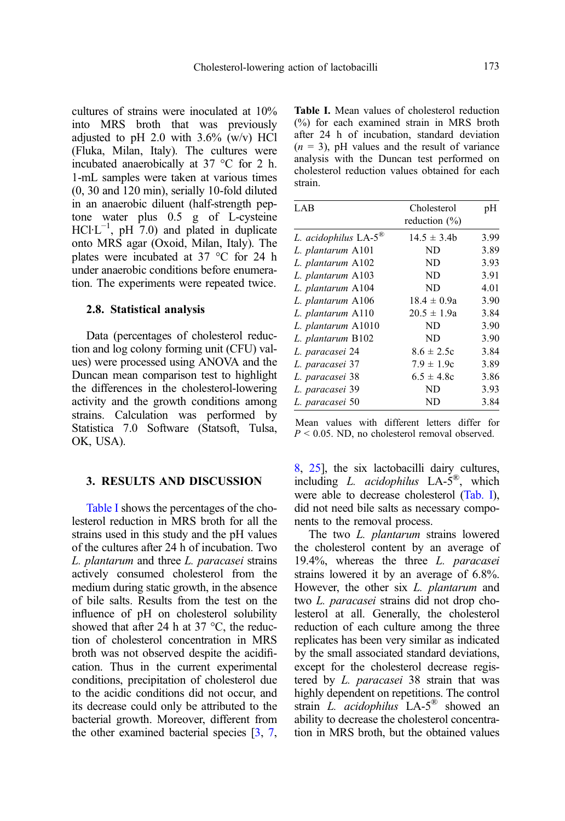cultures of strains were inoculated at 10% into MRS broth that was previously adjusted to pH 2.0 with  $3.6\%$  (w/v) HCl (Fluka, Milan, Italy). The cultures were incubated anaerobically at 37 °C for 2 h. 1-mL samples were taken at various times (0, 30 and 120 min), serially 10-fold diluted in an anaerobic diluent (half-strength peptone water plus 0.5 g of L-cysteine HCl·L<sup>-1</sup>, pH 7.0) and plated in duplicate onto MRS agar (Oxoid, Milan, Italy). The plates were incubated at 37 °C for 24 h under anaerobic conditions before enumeration. The experiments were repeated twice.

#### 2.8. Statistical analysis

Data (percentages of cholesterol reduction and log colony forming unit (CFU) values) were processed using ANOVA and the Duncan mean comparison test to highlight the differences in the cholesterol-lowering activity and the growth conditions among strains. Calculation was performed by Statistica 7.0 Software (Statsoft, Tulsa, OK, USA).

#### 3. RESULTS AND DISCUSSION

Table I shows the percentages of the cholesterol reduction in MRS broth for all the strains used in this study and the pH values of the cultures after 24 h of incubation. Two L. plantarum and three L. paracasei strains actively consumed cholesterol from the medium during static growth, in the absence of bile salts. Results from the test on the influence of pH on cholesterol solubility showed that after 24 h at 37 °C, the reduction of cholesterol concentration in MRS broth was not observed despite the acidification. Thus in the current experimental conditions, precipitation of cholesterol due to the acidic conditions did not occur, and its decrease could only be attributed to the bacterial growth. Moreover, different from the other examined bacterial species [\[3,](#page-6-0) [7](#page-6-0),

Table I. Mean values of cholesterol reduction (%) for each examined strain in MRS broth after 24 h of incubation, standard deviation  $(n = 3)$ , pH values and the result of variance analysis with the Duncan test performed on cholesterol reduction values obtained for each strain.

| LAB                              | Cholesterol<br>reduction $(\%)$ | pН<br>3.99<br>3.89 |
|----------------------------------|---------------------------------|--------------------|
| L. acidophilus LA-5 <sup>®</sup> | $14.5 \pm 3.4b$                 |                    |
| L. plantarum A101                | ND                              |                    |
| L. plantarum A102                | ND                              | 3.93               |
| L. plantarum A103                | ND                              | 3.91               |
| L. plantarum A104                | ND                              | 4.01               |
| L. plantarum A106                | $18.4 \pm 0.9a$                 | 3.90               |
| L. plantarum A110                | $20.5 \pm 1.9a$                 | 3.84               |
| L. plantarum A1010               | ND                              | 3.90               |
| L. plantarum B102                | ND                              | 3.90               |
| L. paracasei 24                  | $8.6 \pm 2.5c$                  | 3.84               |
| L. paracasei 37                  | $7.9 \pm 1.9c$                  | 3.89               |
| L. paracasei 38                  | $6.5 \pm 4.8c$                  | 3.86               |
| L. paracasei 39                  | ND                              | 3.93               |
| L. paracasei 50                  | ND                              | 3.84               |

Mean values with different letters differ for  $P \le 0.05$ . ND, no cholesterol removal observed.

[8,](#page-6-0) [25\]](#page-7-0), the six lactobacilli dairy cultures, including L. acidophilus  $LA-5^{\circledR}$ , which were able to decrease cholesterol (Tab. I), did not need bile salts as necessary components to the removal process.

The two *L. plantarum* strains lowered the cholesterol content by an average of 19.4%, whereas the three L. paracasei strains lowered it by an average of 6.8%. However, the other six L. plantarum and two L. paracasei strains did not drop cholesterol at all. Generally, the cholesterol reduction of each culture among the three replicates has been very similar as indicated by the small associated standard deviations, except for the cholesterol decrease registered by L. paracasei 38 strain that was highly dependent on repetitions. The control strain  $L$ . *acidophilus*  $LA-5^{\circledR}$  showed an ability to decrease the cholesterol concentration in MRS broth, but the obtained values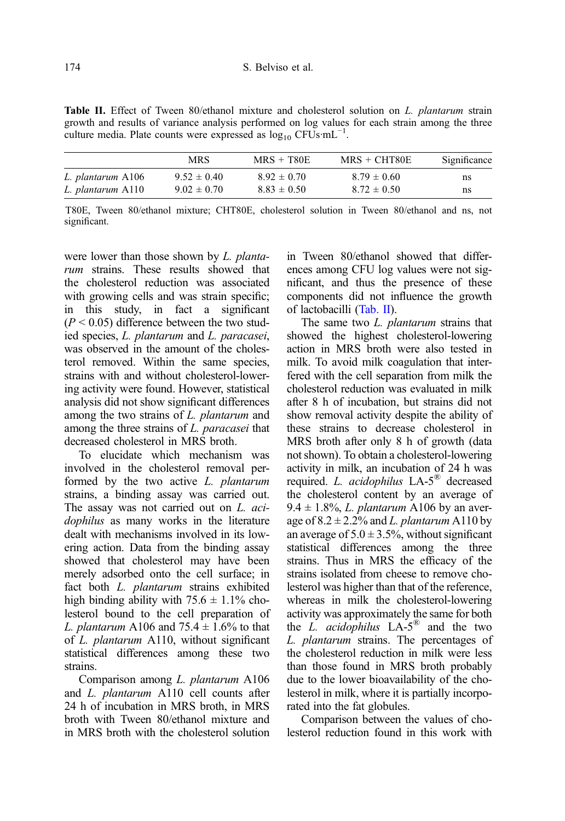Table II. Effect of Tween 80/ethanol mixture and cholesterol solution on L. plantarum strain growth and results of variance analysis performed on log values for each strain among the three culture media. Plate counts were expressed as  $log_{10}$  CFUs·mL<sup>-1</sup>.

|                   | <b>MRS</b>      | $MRS + T80E$    | $MRS + CHTS0E$  | Significance |
|-------------------|-----------------|-----------------|-----------------|--------------|
| L. plantarum A106 | $9.52 \pm 0.40$ | $8.92 \pm 0.70$ | $8.79 \pm 0.60$ | ns           |
| L. plantarum A110 | $9.02 \pm 0.70$ | $8.83 \pm 0.50$ | $8.72 \pm 0.50$ | ns           |

T80E, Tween 80/ethanol mixture; CHT80E, cholesterol solution in Tween 80/ethanol and ns, not significant.

were lower than those shown by L. plantarum strains. These results showed that the cholesterol reduction was associated with growing cells and was strain specific: in this study, in fact a significant  $(P < 0.05)$  difference between the two studied species, L. plantarum and L. paracasei, was observed in the amount of the cholesterol removed. Within the same species, strains with and without cholesterol-lowering activity were found. However, statistical analysis did not show significant differences among the two strains of L. plantarum and among the three strains of L. paracasei that decreased cholesterol in MRS broth.

To elucidate which mechanism was involved in the cholesterol removal performed by the two active L. plantarum strains, a binding assay was carried out. The assay was not carried out on L. acidophilus as many works in the literature dealt with mechanisms involved in its lowering action. Data from the binding assay showed that cholesterol may have been merely adsorbed onto the cell surface; in fact both L. plantarum strains exhibited high binding ability with  $75.6 \pm 1.1\%$  cholesterol bound to the cell preparation of L. plantarum A106 and  $75.4 \pm 1.6\%$  to that of L. plantarum A110, without significant statistical differences among these two strains.

Comparison among L. plantarum A106 and L. plantarum A110 cell counts after 24 h of incubation in MRS broth, in MRS broth with Tween 80/ethanol mixture and in MRS broth with the cholesterol solution in Tween 80/ethanol showed that differences among CFU log values were not significant, and thus the presence of these components did not influence the growth of lactobacilli (Tab. II).

The same two *L. plantarum* strains that showed the highest cholesterol-lowering action in MRS broth were also tested in milk. To avoid milk coagulation that interfered with the cell separation from milk the cholesterol reduction was evaluated in milk after 8 h of incubation, but strains did not show removal activity despite the ability of these strains to decrease cholesterol in MRS broth after only 8 h of growth (data not shown). To obtain a cholesterol-lowering activity in milk, an incubation of 24 h was required. L. acidophilus LA-5® decreased the cholesterol content by an average of  $9.4 \pm 1.8\%$ , *L. plantarum* A106 by an average of  $8.2 \pm 2.2\%$  and L. plantarum A110 by an average of  $5.0 \pm 3.5\%$ , without significant statistical differences among the three strains. Thus in MRS the efficacy of the strains isolated from cheese to remove cholesterol was higher than that of the reference, whereas in milk the cholesterol-lowering activity was approximately the same for both the L. acidophilus  $LA-5^{\circledR}$  and the two L. plantarum strains. The percentages of the cholesterol reduction in milk were less than those found in MRS broth probably due to the lower bioavailability of the cholesterol in milk, where it is partially incorporated into the fat globules.

Comparison between the values of cholesterol reduction found in this work with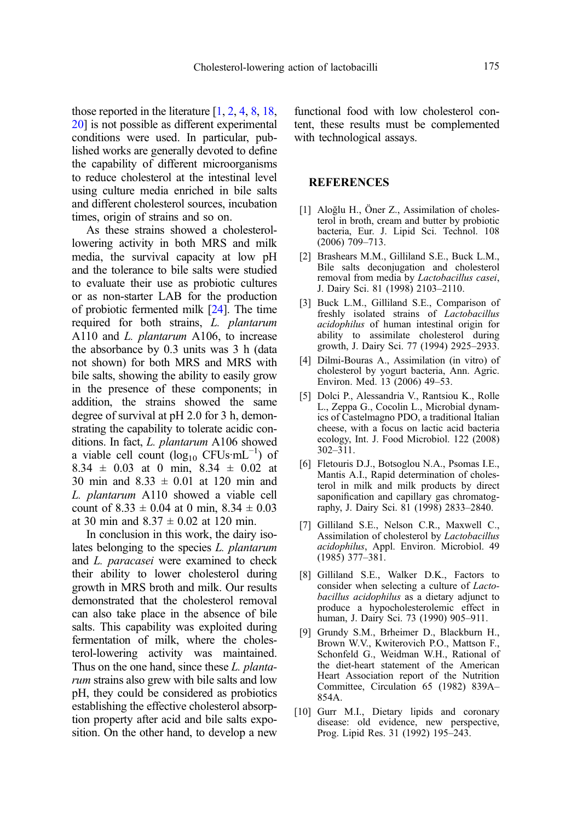<span id="page-6-0"></span>those reported in the literature [1, 2, 4, 8, [18](#page-7-0), [20](#page-7-0)] is not possible as different experimental conditions were used. In particular, published works are generally devoted to define the capability of different microorganisms to reduce cholesterol at the intestinal level using culture media enriched in bile salts and different cholesterol sources, incubation times, origin of strains and so on.

As these strains showed a cholesterollowering activity in both MRS and milk media, the survival capacity at low pH and the tolerance to bile salts were studied to evaluate their use as probiotic cultures or as non-starter LAB for the production of probiotic fermented milk [\[24](#page-7-0)]. The time required for both strains, L. plantarum A110 and *L. plantarum* A106, to increase the absorbance by 0.3 units was 3 h (data not shown) for both MRS and MRS with bile salts, showing the ability to easily grow in the presence of these components; in addition, the strains showed the same degree of survival at pH 2.0 for 3 h, demonstrating the capability to tolerate acidic conditions. In fact, L. plantarum A106 showed a viable cell count (log<sub>10</sub> CFUs·mL<sup>-1</sup>) of  $8.34 \pm 0.03$  at 0 min,  $8.34 \pm 0.02$  at 30 min and 8.33 ± 0.01 at 120 min and L. plantarum A110 showed a viable cell count of  $8.33 \pm 0.04$  at 0 min,  $8.34 \pm 0.03$ at 30 min and  $8.37 \pm 0.02$  at 120 min.

In conclusion in this work, the dairy isolates belonging to the species L. plantarum and L. paracasei were examined to check their ability to lower cholesterol during growth in MRS broth and milk. Our results demonstrated that the cholesterol removal can also take place in the absence of bile salts. This capability was exploited during fermentation of milk, where the cholesterol-lowering activity was maintained. Thus on the one hand, since these *L. planta*rum strains also grew with bile salts and low pH, they could be considered as probiotics establishing the effective cholesterol absorption property after acid and bile salts exposition. On the other hand, to develop a new functional food with low cholesterol content, these results must be complemented with technological assays.

#### **REFERENCES**

- [1] Aloğlu H., Öner Z., Assimilation of cholesterol in broth, cream and butter by probiotic bacteria, Eur. J. Lipid Sci. Technol. 108 (2006) 709–713.
- [2] Brashears M.M., Gilliland S.E., Buck L.M., Bile salts deconjugation and cholesterol removal from media by Lactobacillus casei, J. Dairy Sci. 81 (1998) 2103–2110.
- [3] Buck L.M., Gilliland S.E., Comparison of freshly isolated strains of Lactobacillus acidophilus of human intestinal origin for ability to assimilate cholesterol during growth, J. Dairy Sci. 77 (1994) 2925–2933.
- [4] Dilmi-Bouras A., Assimilation (in vitro) of cholesterol by yogurt bacteria, Ann. Agric. Environ. Med. 13 (2006) 49–53.
- [5] Dolci P., Alessandria V., Rantsiou K., Rolle L., Zeppa G., Cocolin L., Microbial dynamics of Castelmagno PDO, a traditional Italian cheese, with a focus on lactic acid bacteria ecology, Int. J. Food Microbiol. 122 (2008)  $302 - 311$ .
- [6] Fletouris D.J., Botsoglou N.A., Psomas I.E., Mantis A.I., Rapid determination of cholesterol in milk and milk products by direct saponification and capillary gas chromatography, J. Dairy Sci. 81 (1998) 2833–2840.
- [7] Gilliland S.E., Nelson C.R., Maxwell C., Assimilation of cholesterol by Lactobacillus acidophilus, Appl. Environ. Microbiol. 49 (1985) 377–381.
- [8] Gilliland S.E., Walker D.K., Factors to consider when selecting a culture of Lactobacillus acidophilus as a dietary adjunct to produce a hypocholesterolemic effect in human, J. Dairy Sci. 73 (1990) 905–911.
- [9] Grundy S.M., Brheimer D., Blackburn H., Brown W.V., Kwiterovich P.O., Mattson F., Schonfeld G., Weidman W.H., Rational of the diet-heart statement of the American Heart Association report of the Nutrition Committee, Circulation 65 (1982) 839A– 854A.
- [10] Gurr M.I., Dietary lipids and coronary disease: old evidence, new perspective, Prog. Lipid Res. 31 (1992) 195–243.